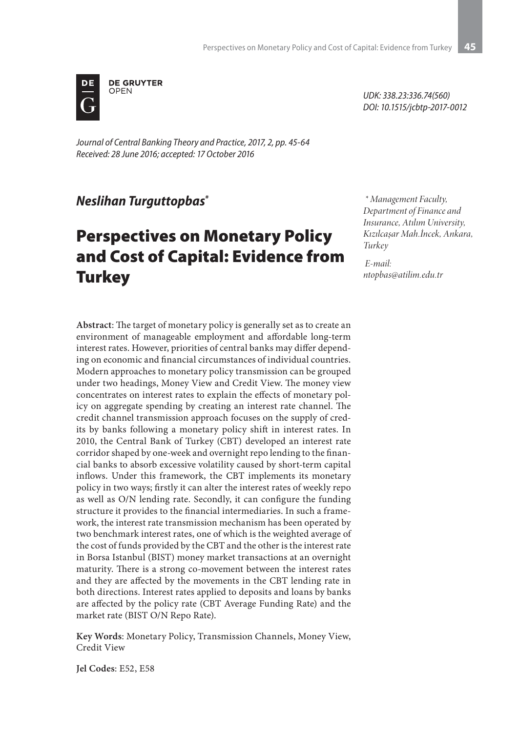

*Journal of Central Banking Theory and Practice, 2017, 2, pp. 45-64 Received: 28 June 2016; accepted: 17 October 2016*

## *Neslihan Turguttopbas\**

# Perspectives on Monetary Policy and Cost of Capital: Evidence from **Turkey**

*UDK: 338.23:336.74(560) DOI: 10.1515/jcbtp-2017-0012*

 *\* Management Faculty, Department of Finance and Insurance, Atılım University, Kızılcaşar Mah.İncek, Ankara, Turkey*

 *E-mail: ntopbas@atilim.edu.tr*

**Abstract**: The target of monetary policy is generally set as to create an environment of manageable employment and affordable long-term interest rates. However, priorities of central banks may differ depending on economic and financial circumstances of individual countries. Modern approaches to monetary policy transmission can be grouped under two headings, Money View and Credit View. The money view concentrates on interest rates to explain the effects of monetary policy on aggregate spending by creating an interest rate channel. The credit channel transmission approach focuses on the supply of credits by banks following a monetary policy shift in interest rates. In 2010, the Central Bank of Turkey (CBT) developed an interest rate corridor shaped by one-week and overnight repo lending to the financial banks to absorb excessive volatility caused by short-term capital inflows. Under this framework, the CBT implements its monetary policy in two ways; firstly it can alter the interest rates of weekly repo as well as O/N lending rate. Secondly, it can configure the funding structure it provides to the financial intermediaries. In such a framework, the interest rate transmission mechanism has been operated by two benchmark interest rates, one of which is the weighted average of the cost of funds provided by the CBT and the other is the interest rate in Borsa Istanbul (BIST) money market transactions at an overnight maturity. There is a strong co-movement between the interest rates and they are affected by the movements in the CBT lending rate in both directions. Interest rates applied to deposits and loans by banks are affected by the policy rate (CBT Average Funding Rate) and the market rate (BIST O/N Repo Rate).

**Key Words**: Monetary Policy, Transmission Channels, Money View, Credit View

**Jel Codes**: E52, E58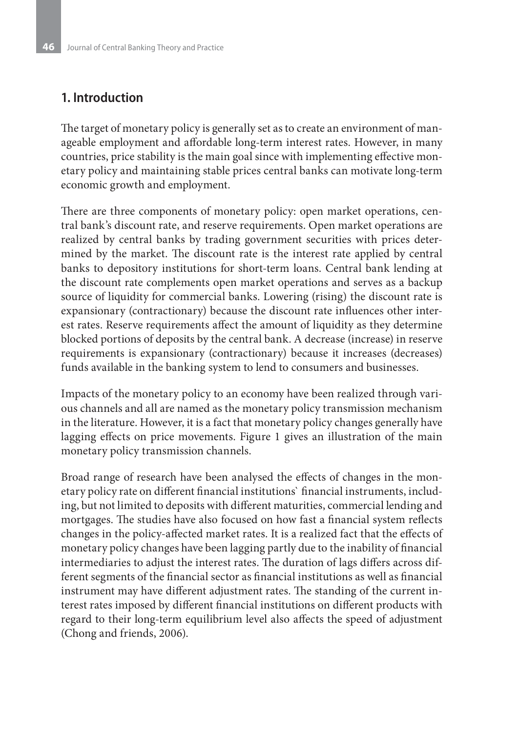### **1. Introduction**

The target of monetary policy is generally set as to create an environment of manageable employment and affordable long-term interest rates. However, in many countries, price stability is the main goal since with implementing effective monetary policy and maintaining stable prices central banks can motivate long-term economic growth and employment.

There are three components of monetary policy: open market operations, central bank's discount rate, and reserve requirements. Open market operations are realized by central banks by trading government securities with prices determined by the market. The discount rate is the interest rate applied by central banks to depository institutions for short-term loans. Central bank lending at the discount rate complements open market operations and serves as a backup source of liquidity for commercial banks. Lowering (rising) the discount rate is expansionary (contractionary) because the discount rate influences other interest rates. Reserve requirements affect the amount of liquidity as they determine blocked portions of deposits by the central bank. A decrease (increase) in reserve requirements is expansionary (contractionary) because it increases (decreases) funds available in the banking system to lend to consumers and businesses.

Impacts of the monetary policy to an economy have been realized through various channels and all are named as the monetary policy transmission mechanism in the literature. However, it is a fact that monetary policy changes generally have lagging effects on price movements. Figure 1 gives an illustration of the main monetary policy transmission channels.

Broad range of research have been analysed the effects of changes in the monetary policy rate on different financial institutions` financial instruments, including, but not limited to deposits with different maturities, commercial lending and mortgages. The studies have also focused on how fast a financial system reflects changes in the policy-affected market rates. It is a realized fact that the effects of monetary policy changes have been lagging partly due to the inability of financial intermediaries to adjust the interest rates. The duration of lags differs across different segments of the financial sector as financial institutions as well as financial instrument may have different adjustment rates. The standing of the current interest rates imposed by different financial institutions on different products with regard to their long-term equilibrium level also affects the speed of adjustment (Chong and friends, 2006).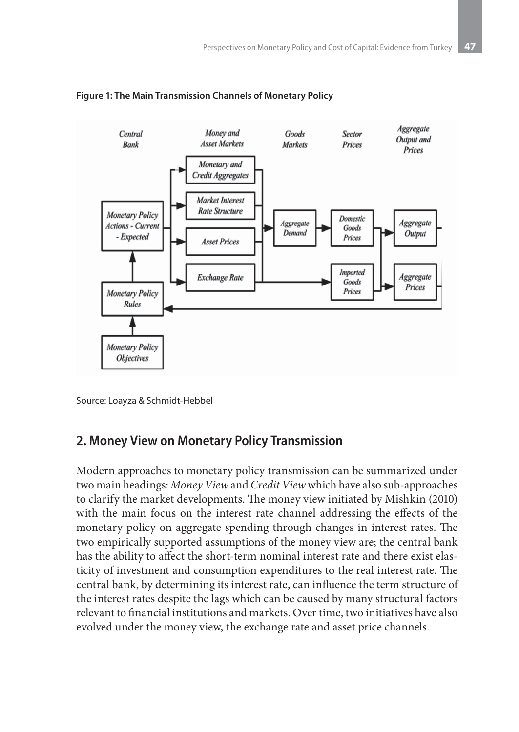

#### **Figure 1: The Main Transmission Channels of Monetary Policy**

Source: Loayza & Schmidt-Hebbel

## **2. Money View on Monetary Policy Transmission**

Modern approaches to monetary policy transmission can be summarized under two main headings: *Money View* and *Credit View* which have also sub-approaches to clarify the market developments. The money view initiated by Mishkin (2010) with the main focus on the interest rate channel addressing the effects of the monetary policy on aggregate spending through changes in interest rates. The two empirically supported assumptions of the money view are; the central bank has the ability to affect the short-term nominal interest rate and there exist elasticity of investment and consumption expenditures to the real interest rate. The central bank, by determining its interest rate, can influence the term structure of the interest rates despite the lags which can be caused by many structural factors relevant to financial institutions and markets. Over time, two initiatives have also evolved under the money view, the exchange rate and asset price channels.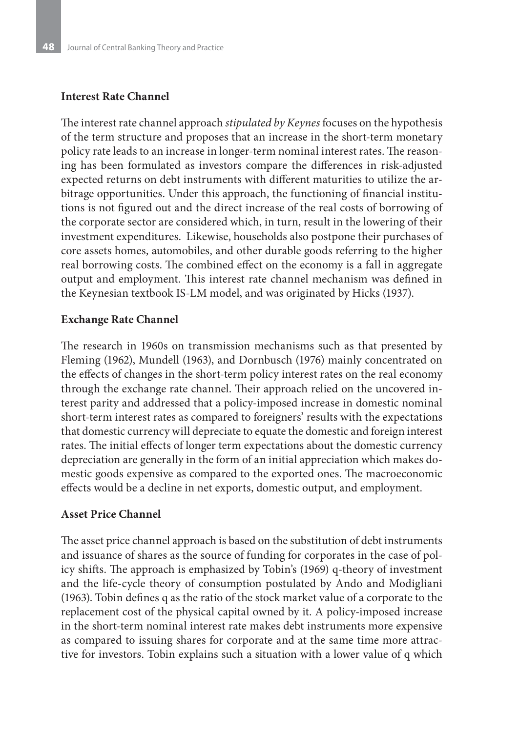### **Interest Rate Channel**

The interest rate channel approach *stipulated by Keynes* focuses on the hypothesis of the term structure and proposes that an increase in the short-term monetary policy rate leads to an increase in longer‐term nominal interest rates. The reasoning has been formulated as investors compare the differences in risk‐adjusted expected returns on debt instruments with different maturities to utilize the arbitrage opportunities. Under this approach, the functioning of financial institutions is not figured out and the direct increase of the real costs of borrowing of the corporate sector are considered which, in turn, result in the lowering of their investment expenditures. Likewise, households also postpone their purchases of core assets homes, automobiles, and other durable goods referring to the higher real borrowing costs. The combined effect on the economy is a fall in aggregate output and employment. This interest rate channel mechanism was defined in the Keynesian textbook IS‐LM model, and was originated by Hicks (1937).

#### **Exchange Rate Channel**

The research in 1960s on transmission mechanisms such as that presented by Fleming (1962), Mundell (1963), and Dornbusch (1976) mainly concentrated on the effects of changes in the short-term policy interest rates on the real economy through the exchange rate channel. Their approach relied on the uncovered interest parity and addressed that a policy-imposed increase in domestic nominal short-term interest rates as compared to foreigners' results with the expectations that domestic currency will depreciate to equate the domestic and foreign interest rates. The initial effects of longer term expectations about the domestic currency depreciation are generally in the form of an initial appreciation which makes domestic goods expensive as compared to the exported ones. The macroeconomic effects would be a decline in net exports, domestic output, and employment.

#### **Asset Price Channel**

The asset price channel approach is based on the substitution of debt instruments and issuance of shares as the source of funding for corporates in the case of policy shifts. The approach is emphasized by Tobin's (1969) q-theory of investment and the life-cycle theory of consumption postulated by Ando and Modigliani (1963). Tobin defines q as the ratio of the stock market value of a corporate to the replacement cost of the physical capital owned by it. A policy-imposed increase in the short-term nominal interest rate makes debt instruments more expensive as compared to issuing shares for corporate and at the same time more attractive for investors. Tobin explains such a situation with a lower value of q which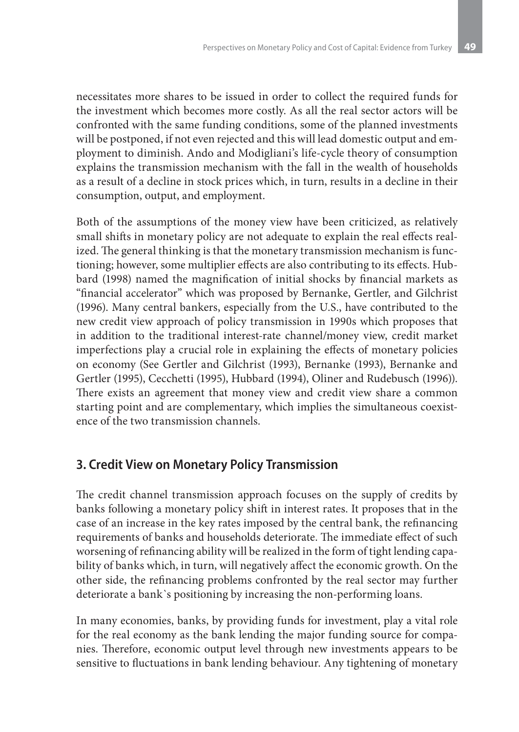necessitates more shares to be issued in order to collect the required funds for the investment which becomes more costly. As all the real sector actors will be confronted with the same funding conditions, some of the planned investments will be postponed, if not even rejected and this will lead domestic output and employment to diminish. Ando and Modigliani's life-cycle theory of consumption explains the transmission mechanism with the fall in the wealth of households as a result of a decline in stock prices which, in turn, results in a decline in their consumption, output, and employment.

Both of the assumptions of the money view have been criticized, as relatively small shifts in monetary policy are not adequate to explain the real effects realized. The general thinking is that the monetary transmission mechanism is functioning; however, some multiplier effects are also contributing to its effects. Hubbard (1998) named the magnification of initial shocks by financial markets as "financial accelerator" which was proposed by Bernanke, Gertler, and Gilchrist (1996). Many central bankers, especially from the U.S., have contributed to the new credit view approach of policy transmission in 1990s which proposes that in addition to the traditional interest-rate channel/money view, credit market imperfections play a crucial role in explaining the effects of monetary policies on economy (See Gertler and Gilchrist (1993), Bernanke (1993), Bernanke and Gertler (1995), Cecchetti (1995), Hubbard (1994), Oliner and Rudebusch (1996)). There exists an agreement that money view and credit view share a common starting point and are complementary, which implies the simultaneous coexistence of the two transmission channels.

## **3. Credit View on Monetary Policy Transmission**

The credit channel transmission approach focuses on the supply of credits by banks following a monetary policy shift in interest rates. It proposes that in the case of an increase in the key rates imposed by the central bank, the refinancing requirements of banks and households deteriorate. The immediate effect of such worsening of refinancing ability will be realized in the form of tight lending capability of banks which, in turn, will negatively affect the economic growth. On the other side, the refinancing problems confronted by the real sector may further deteriorate a bank`s positioning by increasing the non-performing loans.

In many economies, banks, by providing funds for investment, play a vital role for the real economy as the bank lending the major funding source for companies. Therefore, economic output level through new investments appears to be sensitive to fluctuations in bank lending behaviour. Any tightening of monetary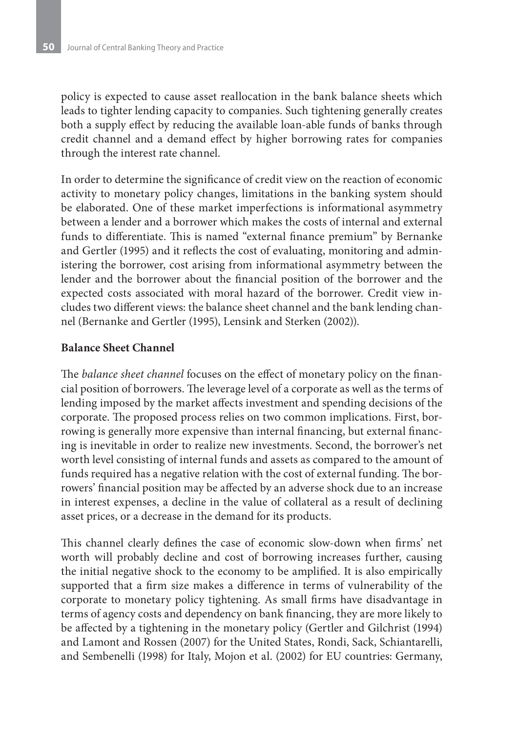policy is expected to cause asset reallocation in the bank balance sheets which leads to tighter lending capacity to companies. Such tightening generally creates both a supply effect by reducing the available loan-able funds of banks through credit channel and a demand effect by higher borrowing rates for companies through the interest rate channel.

In order to determine the significance of credit view on the reaction of economic activity to monetary policy changes, limitations in the banking system should be elaborated. One of these market imperfections is informational asymmetry between a lender and a borrower which makes the costs of internal and external funds to differentiate. This is named "external finance premium" by Bernanke and Gertler (1995) and it reflects the cost of evaluating, monitoring and administering the borrower, cost arising from informational asymmetry between the lender and the borrower about the financial position of the borrower and the expected costs associated with moral hazard of the borrower. Credit view includes two different views: the balance sheet channel and the bank lending channel (Bernanke and Gertler (1995), Lensink and Sterken (2002)).

### **Balance Sheet Channel**

The *balance sheet channel* focuses on the effect of monetary policy on the financial position of borrowers. The leverage level of a corporate as well as the terms of lending imposed by the market affects investment and spending decisions of the corporate. The proposed process relies on two common implications. First, borrowing is generally more expensive than internal financing, but external financing is inevitable in order to realize new investments. Second, the borrower's net worth level consisting of internal funds and assets as compared to the amount of funds required has a negative relation with the cost of external funding. The borrowers' financial position may be affected by an adverse shock due to an increase in interest expenses, a decline in the value of collateral as a result of declining asset prices, or a decrease in the demand for its products.

This channel clearly defines the case of economic slow-down when firms' net worth will probably decline and cost of borrowing increases further, causing the initial negative shock to the economy to be amplified. It is also empirically supported that a firm size makes a difference in terms of vulnerability of the corporate to monetary policy tightening. As small firms have disadvantage in terms of agency costs and dependency on bank financing, they are more likely to be affected by a tightening in the monetary policy (Gertler and Gilchrist (1994) and Lamont and Rossen (2007) for the United States, Rondi, Sack, Schiantarelli, and Sembenelli (1998) for Italy, Mojon et al. (2002) for EU countries: Germany,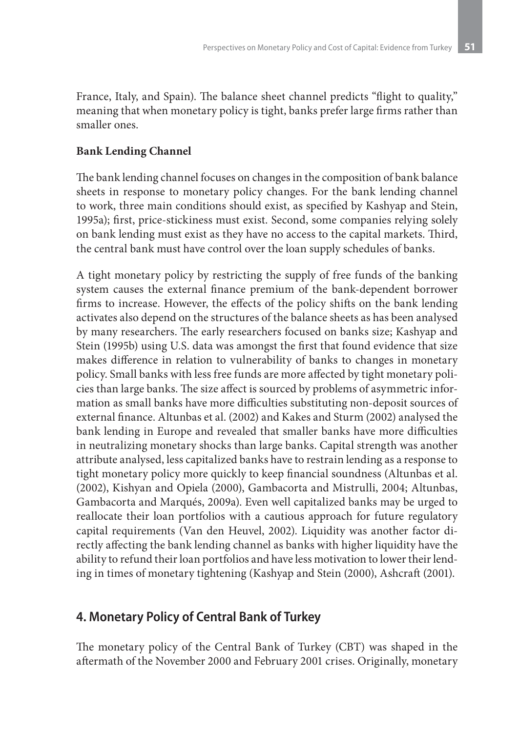France, Italy, and Spain). The balance sheet channel predicts "flight to quality," meaning that when monetary policy is tight, banks prefer large firms rather than smaller ones.

### **Bank Lending Channel**

The bank lending channel focuses on changes in the composition of bank balance sheets in response to monetary policy changes. For the bank lending channel to work, three main conditions should exist, as specified by Kashyap and Stein, 1995a); first, price-stickiness must exist. Second, some companies relying solely on bank lending must exist as they have no access to the capital markets. Third, the central bank must have control over the loan supply schedules of banks.

A tight monetary policy by restricting the supply of free funds of the banking system causes the external finance premium of the bank-dependent borrower firms to increase. However, the effects of the policy shifts on the bank lending activates also depend on the structures of the balance sheets as has been analysed by many researchers. The early researchers focused on banks size; Kashyap and Stein (1995b) using U.S. data was amongst the first that found evidence that size makes difference in relation to vulnerability of banks to changes in monetary policy. Small banks with less free funds are more affected by tight monetary policies than large banks. The size affect is sourced by problems of asymmetric information as small banks have more difficulties substituting non-deposit sources of external finance. Altunbas et al. (2002) and Kakes and Sturm (2002) analysed the bank lending in Europe and revealed that smaller banks have more difficulties in neutralizing monetary shocks than large banks. Capital strength was another attribute analysed, less capitalized banks have to restrain lending as a response to tight monetary policy more quickly to keep financial soundness (Altunbas et al. (2002), Kishyan and Opiela (2000), Gambacorta and Mistrulli, 2004; Altunbas, Gambacorta and Marqués, 2009a). Even well capitalized banks may be urged to reallocate their loan portfolios with a cautious approach for future regulatory capital requirements (Van den Heuvel, 2002). Liquidity was another factor directly affecting the bank lending channel as banks with higher liquidity have the ability to refund their loan portfolios and have less motivation to lower their lending in times of monetary tightening (Kashyap and Stein (2000), Ashcraft (2001).

## **4. Monetary Policy of Central Bank of Turkey**

The monetary policy of the Central Bank of Turkey (CBT) was shaped in the aftermath of the November 2000 and February 2001 crises. Originally, monetary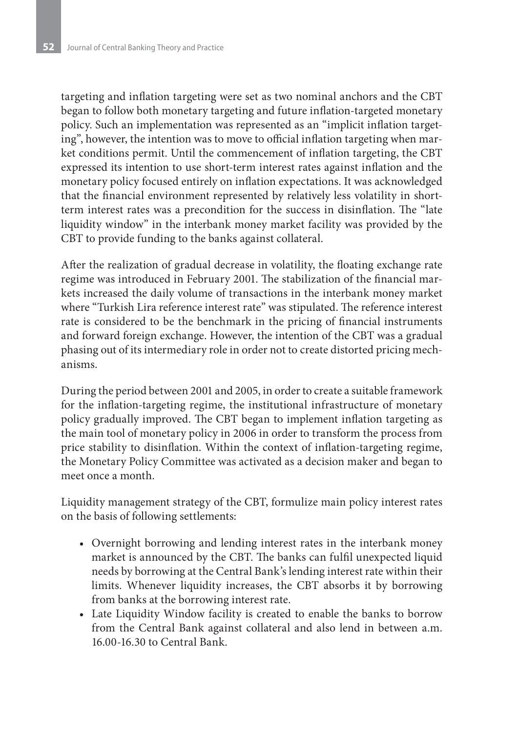targeting and inflation targeting were set as two nominal anchors and the CBT began to follow both monetary targeting and future inflation-targeted monetary policy. Such an implementation was represented as an "implicit inflation targeting", however, the intention was to move to official inflation targeting when market conditions permit. Until the commencement of inflation targeting, the CBT expressed its intention to use short-term interest rates against inflation and the monetary policy focused entirely on inflation expectations. It was acknowledged that the financial environment represented by relatively less volatility in shortterm interest rates was a precondition for the success in disinflation. The "late liquidity window" in the interbank money market facility was provided by the CBT to provide funding to the banks against collateral.

After the realization of gradual decrease in volatility, the floating exchange rate regime was introduced in February 2001. The stabilization of the financial markets increased the daily volume of transactions in the interbank money market where "Turkish Lira reference interest rate" was stipulated. The reference interest rate is considered to be the benchmark in the pricing of financial instruments and forward foreign exchange. However, the intention of the CBT was a gradual phasing out of its intermediary role in order not to create distorted pricing mechanisms.

During the period between 2001 and 2005, in order to create a suitable framework for the inflation-targeting regime, the institutional infrastructure of monetary policy gradually improved. The CBT began to implement inflation targeting as the main tool of monetary policy in 2006 in order to transform the process from price stability to disinflation. Within the context of inflation-targeting regime, the Monetary Policy Committee was activated as a decision maker and began to meet once a month.

Liquidity management strategy of the CBT, formulize main policy interest rates on the basis of following settlements:

- Overnight borrowing and lending interest rates in the interbank money market is announced by the CBT. The banks can fulfil unexpected liquid needs by borrowing at the Central Bank's lending interest rate within their limits. Whenever liquidity increases, the CBT absorbs it by borrowing from banks at the borrowing interest rate.
- Late Liquidity Window facility is created to enable the banks to borrow from the Central Bank against collateral and also lend in between a.m. 16.00-16.30 to Central Bank.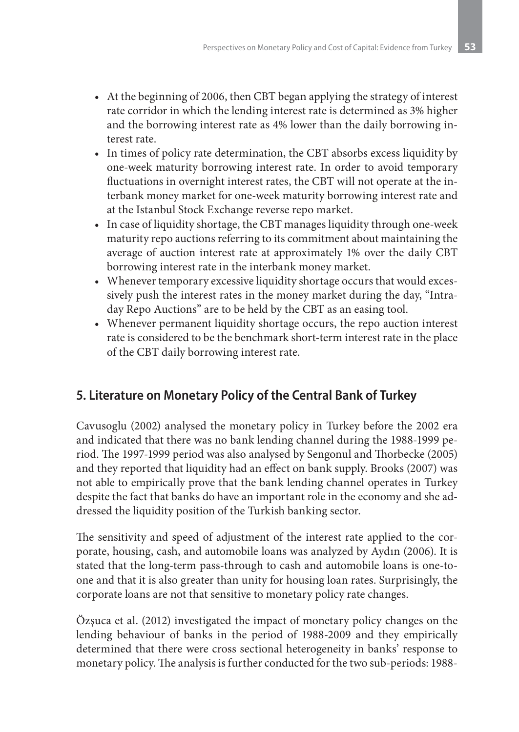- • At the beginning of 2006, then CBT began applying the strategy of interest rate corridor in which the lending interest rate is determined as 3% higher and the borrowing interest rate as 4% lower than the daily borrowing interest rate.
- In times of policy rate determination, the CBT absorbs excess liquidity by one-week maturity borrowing interest rate. In order to avoid temporary fluctuations in overnight interest rates, the CBT will not operate at the interbank money market for one-week maturity borrowing interest rate and at the Istanbul Stock Exchange reverse repo market.
- In case of liquidity shortage, the CBT manages liquidity through one-week maturity repo auctions referring to its commitment about maintaining the average of auction interest rate at approximately 1% over the daily CBT borrowing interest rate in the interbank money market.
- Whenever temporary excessive liquidity shortage occurs that would excessively push the interest rates in the money market during the day, "Intraday Repo Auctions" are to be held by the CBT as an easing tool.
- • Whenever permanent liquidity shortage occurs, the repo auction interest rate is considered to be the benchmark short-term interest rate in the place of the CBT daily borrowing interest rate.

## **5. Literature on Monetary Policy of the Central Bank of Turkey**

Cavusoglu (2002) analysed the monetary policy in Turkey before the 2002 era and indicated that there was no bank lending channel during the 1988-1999 period. The 1997-1999 period was also analysed by Sengonul and Thorbecke (2005) and they reported that liquidity had an effect on bank supply. Brooks (2007) was not able to empirically prove that the bank lending channel operates in Turkey despite the fact that banks do have an important role in the economy and she addressed the liquidity position of the Turkish banking sector.

The sensitivity and speed of adjustment of the interest rate applied to the corporate, housing, cash, and automobile loans was analyzed by Aydın (2006). It is stated that the long-term pass-through to cash and automobile loans is one-toone and that it is also greater than unity for housing loan rates. Surprisingly, the corporate loans are not that sensitive to monetary policy rate changes.

Özşuca et al. (2012) investigated the impact of monetary policy changes on the lending behaviour of banks in the period of 1988-2009 and they empirically determined that there were cross sectional heterogeneity in banks' response to monetary policy. The analysis is further conducted for the two sub-periods: 1988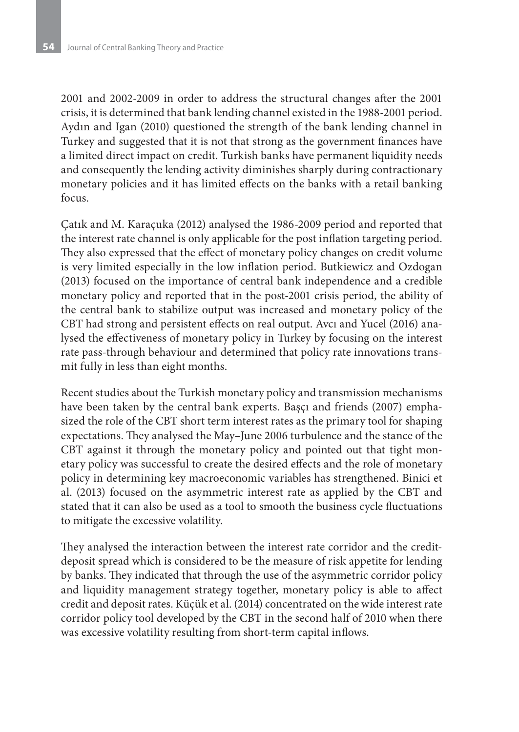2001 and 2002-2009 in order to address the structural changes after the 2001 crisis, it is determined that bank lending channel existed in the 1988-2001 period. Aydın and Igan (2010) questioned the strength of the bank lending channel in Turkey and suggested that it is not that strong as the government finances have a limited direct impact on credit. Turkish banks have permanent liquidity needs and consequently the lending activity diminishes sharply during contractionary monetary policies and it has limited effects on the banks with a retail banking focus.

Çatık and M. Karaçuka (2012) analysed the 1986-2009 period and reported that the interest rate channel is only applicable for the post inflation targeting period. They also expressed that the effect of monetary policy changes on credit volume is very limited especially in the low inflation period. Butkiewicz and Ozdogan (2013) focused on the importance of central bank independence and a credible monetary policy and reported that in the post-2001 crisis period, the ability of the central bank to stabilize output was increased and monetary policy of the CBT had strong and persistent effects on real output. Avcı and Yucel (2016) analysed the effectiveness of monetary policy in Turkey by focusing on the interest rate pass-through behaviour and determined that policy rate innovations transmit fully in less than eight months.

Recent studies about the Turkish monetary policy and transmission mechanisms have been taken by the central bank experts. Başçı and friends (2007) emphasized the role of the CBT short term interest rates as the primary tool for shaping expectations. They analysed the May–June 2006 turbulence and the stance of the CBT against it through the monetary policy and pointed out that tight monetary policy was successful to create the desired effects and the role of monetary policy in determining key macroeconomic variables has strengthened. Binici et al. (2013) focused on the asymmetric interest rate as applied by the CBT and stated that it can also be used as a tool to smooth the business cycle fluctuations to mitigate the excessive volatility.

They analysed the interaction between the interest rate corridor and the creditdeposit spread which is considered to be the measure of risk appetite for lending by banks. They indicated that through the use of the asymmetric corridor policy and liquidity management strategy together, monetary policy is able to affect credit and deposit rates. Küçük et al. (2014) concentrated on the wide interest rate corridor policy tool developed by the CBT in the second half of 2010 when there was excessive volatility resulting from short-term capital inflows.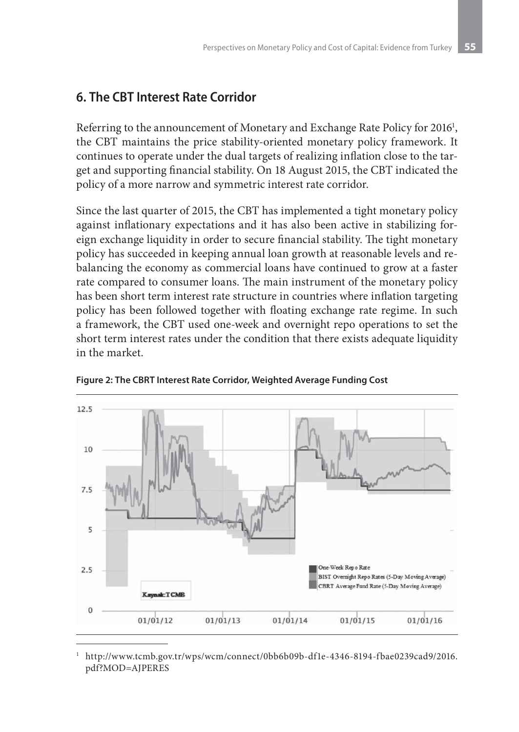## **6. The CBT Interest Rate Corridor**

Referring to the announcement of Monetary and Exchange Rate Policy for 2016<sup>1</sup>, the CBT maintains the price stability-oriented monetary policy framework. It continues to operate under the dual targets of realizing inflation close to the target and supporting financial stability. On 18 August 2015, the CBT indicated the policy of a more narrow and symmetric interest rate corridor.

Since the last quarter of 2015, the CBT has implemented a tight monetary policy against inflationary expectations and it has also been active in stabilizing foreign exchange liquidity in order to secure financial stability. The tight monetary policy has succeeded in keeping annual loan growth at reasonable levels and rebalancing the economy as commercial loans have continued to grow at a faster rate compared to consumer loans. The main instrument of the monetary policy has been short term interest rate structure in countries where inflation targeting policy has been followed together with floating exchange rate regime. In such a framework, the CBT used one-week and overnight repo operations to set the short term interest rates under the condition that there exists adequate liquidity in the market.



**Figure 2: The CBRT Interest Rate Corridor, Weighted Average Funding Cost** 

<sup>1</sup> http://www.tcmb.gov.tr/wps/wcm/connect/0bb6b09b-df1e-4346-8194-fbae0239cad9/2016. pdf?MOD=AJPERES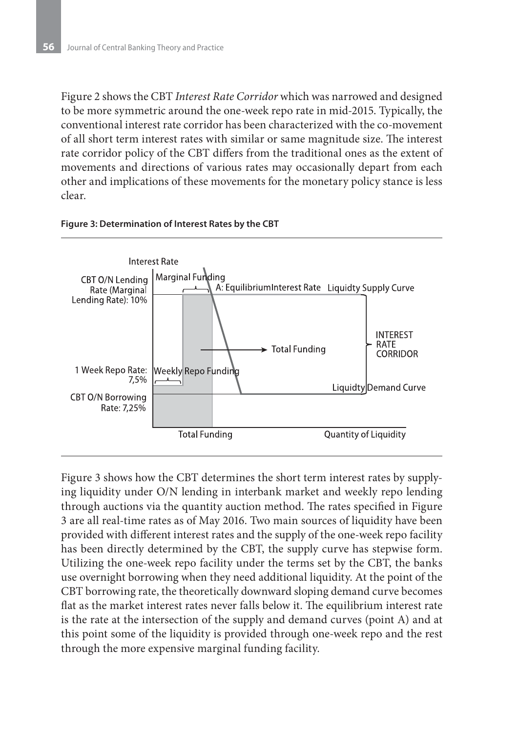Figure 2 shows the CBT *Interest Rate Corridor* which was narrowed and designed to be more symmetric around the one-week repo rate in mid-2015. Typically, the conventional interest rate corridor has been characterized with the co-movement of all short term interest rates with similar or same magnitude size. The interest rate corridor policy of the CBT differs from the traditional ones as the extent of movements and directions of various rates may occasionally depart from each other and implications of these movements for the monetary policy stance is less clear.



#### **Figure 3: Determination of Interest Rates by the CBT**

Figure 3 shows how the CBT determines the short term interest rates by supplying liquidity under O/N lending in interbank market and weekly repo lending through auctions via the quantity auction method. The rates specified in Figure 3 are all real-time rates as of May 2016. Two main sources of liquidity have been provided with different interest rates and the supply of the one-week repo facility has been directly determined by the CBT, the supply curve has stepwise form. Utilizing the one-week repo facility under the terms set by the CBT, the banks use overnight borrowing when they need additional liquidity. At the point of the CBT borrowing rate, the theoretically downward sloping demand curve becomes flat as the market interest rates never falls below it. The equilibrium interest rate is the rate at the intersection of the supply and demand curves (point A) and at this point some of the liquidity is provided through one-week repo and the rest through the more expensive marginal funding facility.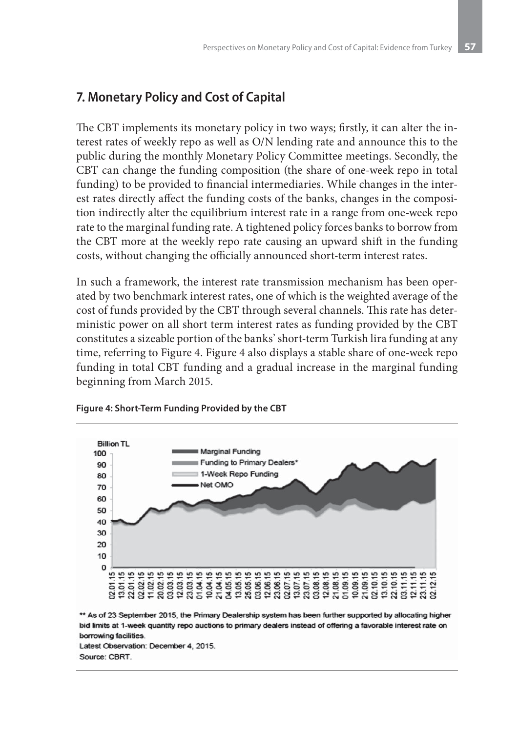## **7. Monetary Policy and Cost of Capital**

The CBT implements its monetary policy in two ways; firstly, it can alter the interest rates of weekly repo as well as O/N lending rate and announce this to the public during the monthly Monetary Policy Committee meetings. Secondly, the CBT can change the funding composition (the share of one-week repo in total funding) to be provided to financial intermediaries. While changes in the interest rates directly affect the funding costs of the banks, changes in the composition indirectly alter the equilibrium interest rate in a range from one-week repo rate to the marginal funding rate. A tightened policy forces banks to borrow from the CBT more at the weekly repo rate causing an upward shift in the funding costs, without changing the officially announced short-term interest rates.

In such a framework, the interest rate transmission mechanism has been operated by two benchmark interest rates, one of which is the weighted average of the cost of funds provided by the CBT through several channels. This rate has deterministic power on all short term interest rates as funding provided by the CBT constitutes a sizeable portion of the banks' short-term Turkish lira funding at any time, referring to Figure 4. Figure 4 also displays a stable share of one-week repo funding in total CBT funding and a gradual increase in the marginal funding beginning from March 2015.





\*\* As of 23 September 2015, the Primary Dealership system has been further supported by allocating higher bid limits at 1-week quantity repo auctions to primary dealers instead of offering a favorable interest rate on borrowing facilities.

Latest Observation: December 4, 2015. Source: CBRT.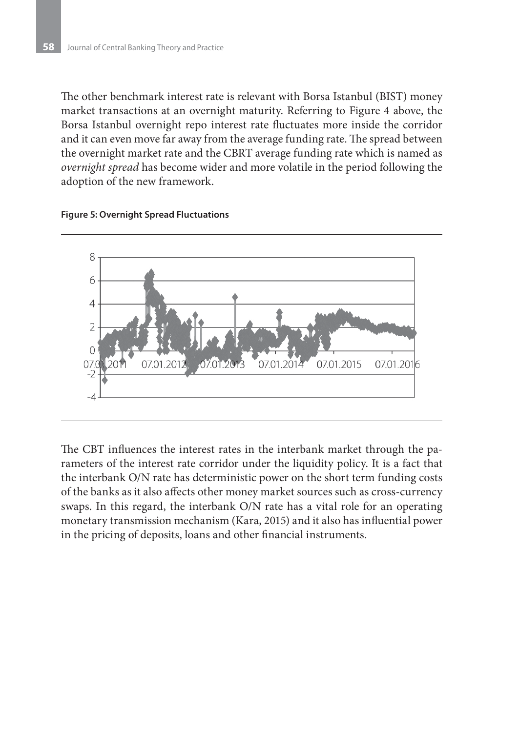The other benchmark interest rate is relevant with Borsa Istanbul (BIST) money market transactions at an overnight maturity. Referring to Figure 4 above, the Borsa Istanbul overnight repo interest rate fluctuates more inside the corridor and it can even move far away from the average funding rate. The spread between the overnight market rate and the CBRT average funding rate which is named as *overnight spread* has become wider and more volatile in the period following the adoption of the new framework.



#### **Figure 5: Overnight Spread Fluctuations**

The CBT influences the interest rates in the interbank market through the parameters of the interest rate corridor under the liquidity policy. It is a fact that the interbank O/N rate has deterministic power on the short term funding costs of the banks as it also affects other money market sources such as cross-currency swaps. In this regard, the interbank O/N rate has a vital role for an operating monetary transmission mechanism (Kara, 2015) and it also has influential power in the pricing of deposits, loans and other financial instruments.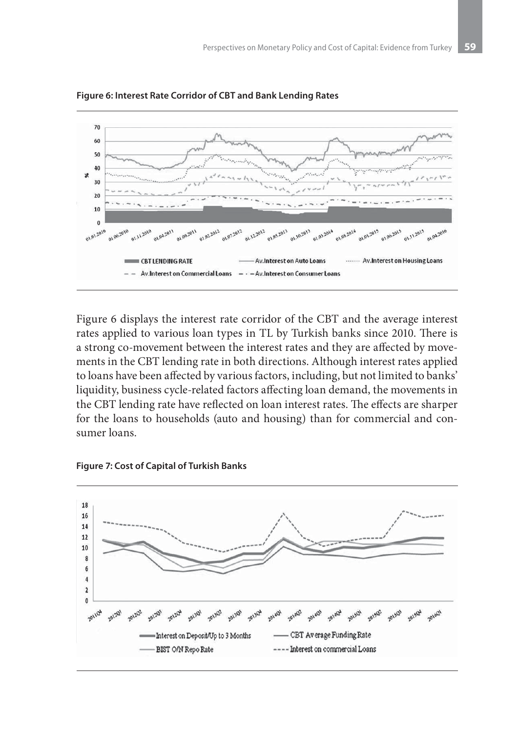



Figure 6 displays the interest rate corridor of the CBT and the average interest rates applied to various loan types in TL by Turkish banks since 2010. There is a strong co-movement between the interest rates and they are affected by movements in the CBT lending rate in both directions. Although interest rates applied to loans have been affected by various factors, including, but not limited to banks' liquidity, business cycle-related factors affecting loan demand, the movements in the CBT lending rate have reflected on loan interest rates. The effects are sharper for the loans to households (auto and housing) than for commercial and consumer loans.



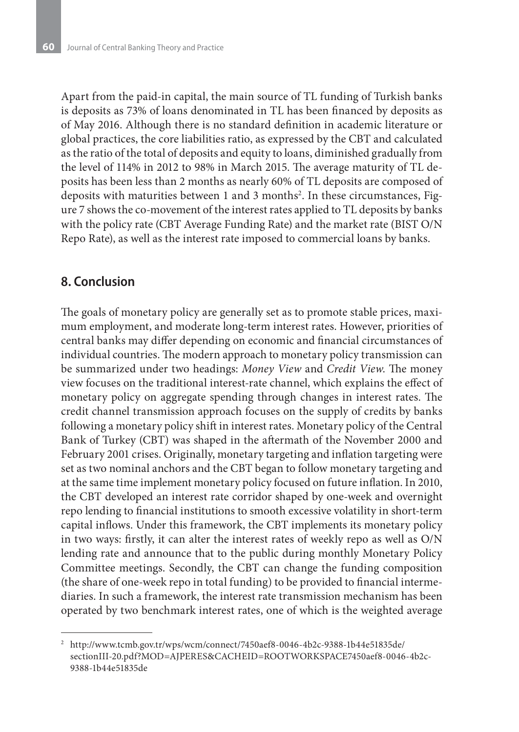Apart from the paid-in capital, the main source of TL funding of Turkish banks is deposits as 73% of loans denominated in TL has been financed by deposits as of May 2016. Although there is no standard definition in academic literature or global practices, the core liabilities ratio, as expressed by the CBT and calculated as the ratio of the total of deposits and equity to loans, diminished gradually from the level of 114% in 2012 to 98% in March 2015. The average maturity of TL deposits has been less than 2 months as nearly 60% of TL deposits are composed of deposits with maturities between 1 and 3 months<sup>2</sup>. In these circumstances, Figure 7 shows the co-movement of the interest rates applied to TL deposits by banks with the policy rate (CBT Average Funding Rate) and the market rate (BIST O/N Repo Rate), as well as the interest rate imposed to commercial loans by banks.

### **8. Conclusion**

The goals of monetary policy are generally set as to promote stable prices, maximum employment, and moderate long-term interest rates. However, priorities of central banks may differ depending on economic and financial circumstances of individual countries. The modern approach to monetary policy transmission can be summarized under two headings: *Money View* and *Credit View*. The money view focuses on the traditional interest-rate channel, which explains the effect of monetary policy on aggregate spending through changes in interest rates. The credit channel transmission approach focuses on the supply of credits by banks following a monetary policy shift in interest rates. Monetary policy of the Central Bank of Turkey (CBT) was shaped in the aftermath of the November 2000 and February 2001 crises. Originally, monetary targeting and inflation targeting were set as two nominal anchors and the CBT began to follow monetary targeting and at the same time implement monetary policy focused on future inflation. In 2010, the CBT developed an interest rate corridor shaped by one-week and overnight repo lending to financial institutions to smooth excessive volatility in short-term capital inflows. Under this framework, the CBT implements its monetary policy in two ways: firstly, it can alter the interest rates of weekly repo as well as O/N lending rate and announce that to the public during monthly Monetary Policy Committee meetings. Secondly, the CBT can change the funding composition (the share of one-week repo in total funding) to be provided to financial intermediaries. In such a framework, the interest rate transmission mechanism has been operated by two benchmark interest rates, one of which is the weighted average

<sup>2</sup> http://www.tcmb.gov.tr/wps/wcm/connect/7450aef8-0046-4b2c-9388-1b44e51835de/ sectionIII-20.pdf?MOD=AJPERES&CACHEID=ROOTWORKSPACE7450aef8-0046-4b2c-9388-1b44e51835de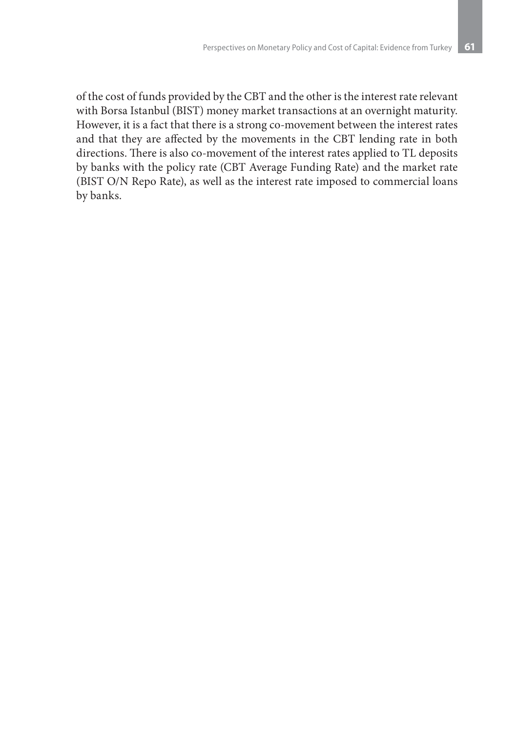of the cost of funds provided by the CBT and the other is the interest rate relevant with Borsa Istanbul (BIST) money market transactions at an overnight maturity. However, it is a fact that there is a strong co-movement between the interest rates and that they are affected by the movements in the CBT lending rate in both directions. There is also co-movement of the interest rates applied to TL deposits by banks with the policy rate (CBT Average Funding Rate) and the market rate (BIST O/N Repo Rate), as well as the interest rate imposed to commercial loans by banks.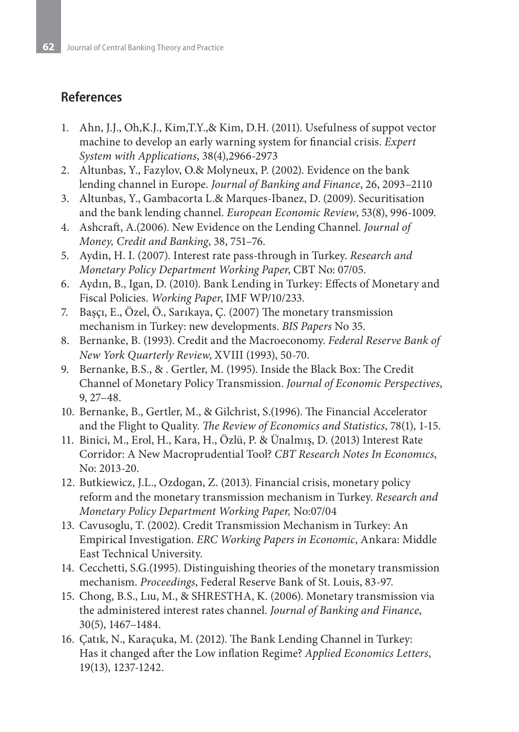### **References**

- 1. Ahn, J.J., Oh,K.J., Kim,T.Y.,& Kim, D.H. (2011). Usefulness of suppot vector machine to develop an early warning system for financial crisis. *Expert System with Applications*, 38(4),2966-2973
- 2. Altunbas, Y., Fazylov, O.& Molyneux, P. (2002). Evidence on the bank lending channel in Europe. *Journal of Banking and Finance*, 26, 2093–2110
- 3. Altunbas, Y., Gambacorta L.& Marques-Ibanez, D. (2009). Securitisation and the bank lending channel. *European Economic Review*, 53(8), 996-1009.
- 4. Ashcraft, A.(2006). New Evidence on the Lending Channel. *Journal of Money, Credit and Banking*, 38, 751–76.
- 5. Aydin, H. I. (2007). Interest rate pass-through in Turkey. *Research and Monetary Policy Department Working Paper*, CBT No: 07/05.
- 6. Aydın, B., Igan, D. (2010). Bank Lending in Turkey: Effects of Monetary and Fiscal Policies. *Working Paper*, IMF WP/10/233.
- 7. Başçı, E., Özel, Ö., Sarıkaya, Ç. (2007) The monetary transmission mechanism in Turkey: new developments. *BIS Papers* No 35.
- 8. Bernanke, B. (1993). Credit and the Macroeconomy. *Federal Reserve Bank of New York Quarterly Review*, XVIII (1993), 50-70.
- 9. Bernanke, B.S., & . Gertler, M. (1995). Inside the Black Box: The Credit Channel of Monetary Policy Transmission. *Journal of Economic Perspectives*, 9, 27–48.
- 10. Bernanke, B., Gertler, M., & Gilchrist, S.(1996). The Financial Accelerator and the Flight to Quality. *The Review of Economics and Statistics*, 78(1), 1-15.
- 11. Binici, M., Erol, H., Kara, H., Özlü, P. & Ünalmış, D. (2013) Interest Rate Corridor: A New Macroprudential Tool? *CBT Research Notes In Economıcs*, No: 2013-20.
- 12. Butkiewicz, J.L., Ozdogan, Z. (2013). Financial crisis, monetary policy reform and the monetary transmission mechanism in Turkey. *Research and Monetary Policy Department Working Paper,* No:07/04
- 13. Cavusoglu, T. (2002). Credit Transmission Mechanism in Turkey: An Empirical Investigation. *ERC Working Papers in Economic*, Ankara: Middle East Technical University.
- 14. Cecchetti, S.G.(1995). Distinguishing theories of the monetary transmission mechanism. *Proceedings*, Federal Reserve Bank of St. Louis, 83-97.
- 15. Chong, B.S., Lıu, M., & SHRESTHA, K. (2006). Monetary transmission via the administered interest rates channel. *Journal of Banking and Finance*, 30(5), 1467–1484.
- 16. Çatık, N., Karaçuka, M. (2012). The Bank Lending Channel in Turkey: Has it changed after the Low inflation Regime? *Applied Economics Letters*, 19(13), 1237-1242.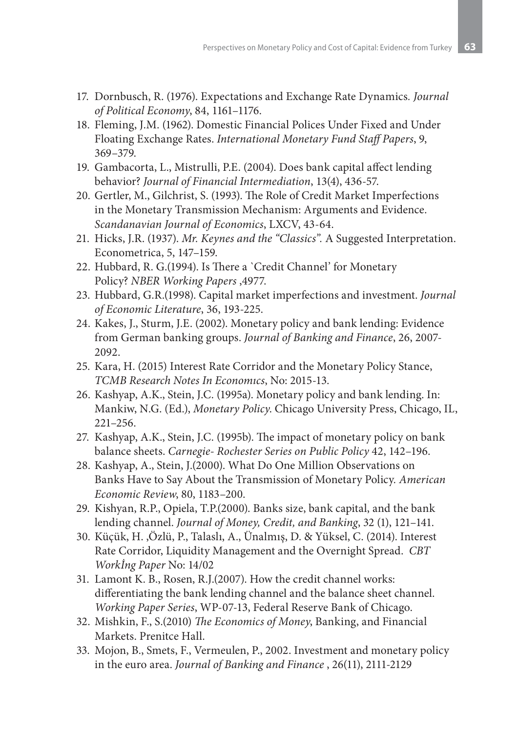- 17. Dornbusch, R. (1976). Expectations and Exchange Rate Dynamics*. Journal of Political Economy*, 84, 1161–1176.
- 18. Fleming, J.M. (1962). Domestic Financial Polices Under Fixed and Under Floating Exchange Rates. *International Monetary Fund Staff Papers*, 9, 369–379.
- 19. Gambacorta, L., Mistrulli, P.E. (2004). Does bank capital affect lending behavior? *Journal of Financial Intermediation*, 13(4), 436-57.
- 20. Gertler, M., Gilchrist, S. (1993). The Role of Credit Market Imperfections in the Monetary Transmission Mechanism: Arguments and Evidence. *Scandanavian Journal of Economics*, LXCV, 43-64.
- 21. Hicks, J.R. (1937). *Mr. Keynes and the "Classics".* A Suggested Interpretation. Econometrica, 5, 147–159.
- 22. Hubbard, R. G.(1994). Is There a `Credit Channel' for Monetary Policy? *NBER Working Papers* ,4977.
- 23. Hubbard, G.R.(1998). Capital market imperfections and investment. *Journal of Economic Literature*, 36, 193-225.
- 24. Kakes, J., Sturm, J.E. (2002). Monetary policy and bank lending: Evidence from German banking groups. *Journal of Banking and Finance*, 26, 2007- 2092.
- 25. Kara, H. (2015) Interest Rate Corridor and the Monetary Policy Stance, *TCMB Research Notes In Economıcs*, No: 2015-13.
- 26. Kashyap, A.K., Stein, J.C. (1995a). Monetary policy and bank lending. In: Mankiw, N.G. (Ed.), *Monetary Policy*. Chicago University Press, Chicago, IL, 221–256.
- 27. Kashyap, A.K., Stein, J.C. (1995b). The impact of monetary policy on bank balance sheets. *Carnegie- Rochester Series on Public Policy* 42, 142–196.
- 28. Kashyap, A., Stein, J.(2000). What Do One Million Observations on Banks Have to Say About the Transmission of Monetary Policy*. American Economic Review*, 80, 1183–200.
- 29. Kishyan, R.P., Opiela, T.P.(2000). Banks size, bank capital, and the bank lending channel. *Journal of Money, Credit, and Banking*, 32 (1), 121–141.
- 30. Küçük, H. ,Özlü, P., Talaslı, A., Ünalmış, D. & Yüksel, C. (2014). Interest Rate Corridor, Liquidity Management and the Overnight Spread. *CBT Workİng Paper* No: 14/02
- 31. Lamont K. B., Rosen, R.J.(2007). How the credit channel works: differentiating the bank lending channel and the balance sheet channel. *Working Paper Series*, WP-07-13, Federal Reserve Bank of Chicago.
- 32. Mishkin, F., S.(2010) *The Economics of Money*, Banking, and Financial Markets. Prenitce Hall.
- 33. Mojon, B., Smets, F., Vermeulen, P., 2002. Investment and monetary policy in the euro area. *Journal of Banking and Finance* , 26(11), 2111-2129